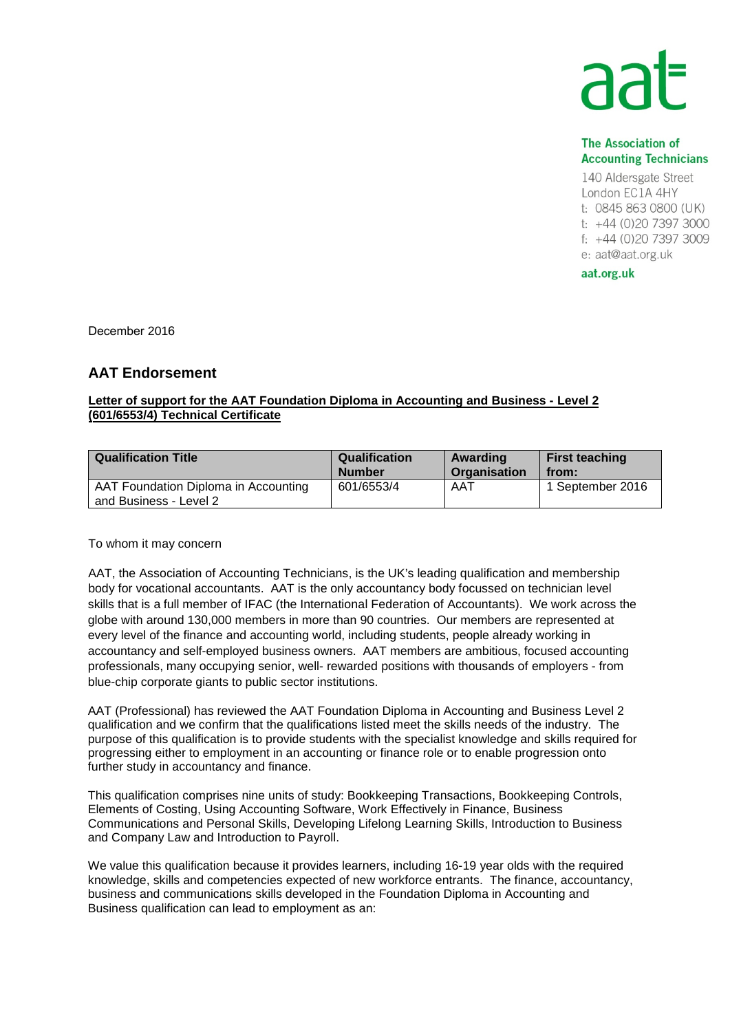## **AA**

## **The Association of Accounting Technicians**

140 Aldersgate Street London EC1A 4HY t: 0845 863 0800 (UK) t: +44 (0)20 7397 3000 f: +44 (0)20 7397 3009 e: aat@aat.org.uk

aat.org.uk

December 2016

## **AAT Endorsement**

## **Letter of support for the AAT Foundation Diploma in Accounting and Business - Level 2 (601/6553/4) Technical Certificate**

| <b>Qualification Title</b>                                     | <b>Qualification</b> | Awarding     | <b>First teaching</b> |
|----------------------------------------------------------------|----------------------|--------------|-----------------------|
|                                                                | <b>Number</b>        | Organisation | from:                 |
| AAT Foundation Diploma in Accounting<br>and Business - Level 2 | 601/6553/4           | AAT          | 1 September 2016      |

To whom it may concern

AAT, the Association of Accounting Technicians, is the UK's leading qualification and membership body for vocational accountants. AAT is the only accountancy body focussed on technician level skills that is a full member of IFAC (the International Federation of Accountants). We work across the globe with around 130,000 members in more than 90 countries. Our members are represented at every level of the finance and accounting world, including students, people already working in accountancy and self-employed business owners. AAT members are ambitious, focused accounting professionals, many occupying senior, well- rewarded positions with thousands of employers - from blue-chip corporate giants to public sector institutions.

AAT (Professional) has reviewed the AAT Foundation Diploma in Accounting and Business Level 2 qualification and we confirm that the qualifications listed meet the skills needs of the industry. The purpose of this qualification is to provide students with the specialist knowledge and skills required for progressing either to employment in an accounting or finance role or to enable progression onto further study in accountancy and finance.

This qualification comprises nine units of study: Bookkeeping Transactions, Bookkeeping Controls, Elements of Costing, Using Accounting Software, Work Effectively in Finance, Business Communications and Personal Skills, Developing Lifelong Learning Skills, Introduction to Business and Company Law and Introduction to Payroll.

We value this qualification because it provides learners, including 16-19 year olds with the required knowledge, skills and competencies expected of new workforce entrants. The finance, accountancy, business and communications skills developed in the Foundation Diploma in Accounting and Business qualification can lead to employment as an: